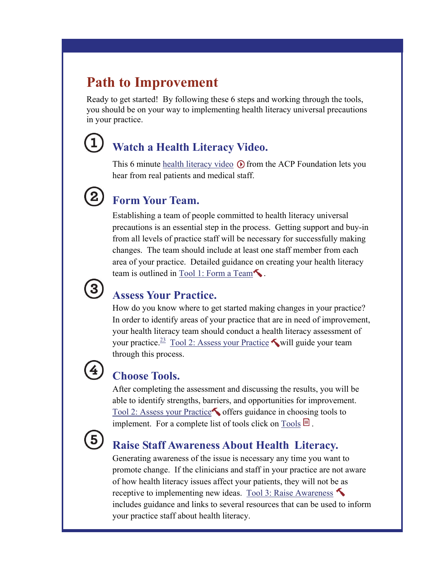## **Path to Improvement**

Ready to get started! By following these 6 steps and working through the tools, you should be on your way to implementing health literacy universal precautions in your practice.

## **Watch a Health Literacy Video.**

This 6 minute [h](http://www.acponline.org/multimedia/?bclid=782539368001&bctid=790962260001)[ealth literacy video](http://acpfoundation.org/hl/hlvideo.htm)  $\odot$  [f](http://www.acponline.org/multimedia/?bclid=782539368001&bctid=790962260001)rom the ACP Foundation lets you hear from real patients and medical staff.

## **Form Your Team.**

Establishing a team of people committed to health literacy universal precautions is an essential step in the process. Getting support and buy-in from all levels of practice staff will be necessary for successfully making changes. The team should include at least one staff member from each area of your practice. Detailed guidance on creating your health literacy team is outlined in Tool 1: Form a Team.

# $\left( 3\right)$

## **Assess Your Practice.**

How do you know where to get started making changes in your practice? In order to identify areas of your practice that are in need of improvement, your health literacy team should conduct a health literacy assessment of your practice.<sup>23</sup> [Tool 2: Assess your Practice](http://www.nchealthliteracy.org/toolkit/tool2.pdf) will guide your team through this process.

## **Choose Tools.**

After completing the assessment and discussing the results, you will be able to identify strengths, barriers, and opportunities for improvement. [Tool 2: Assess your Practice](http://www.nchealthliteracy.org/toolkit/tool2.pdf) offers guidance in choosing tools to implement. For a complete list of tools click on [Tools](http://www.nchealthliteracy.org/toolkit/toollist.pdf)  $\blacksquare$ .



## **Raise Staff Awareness About Health Literacy.**

Generating awareness of the issue is necessary any time you want to promote change. If the clinicians and staff in your practice are not aware of how health literacy issues affect your patients, they will not be as receptive to implementing new ideas. [Tool 3: Raise Awareness](http://www.nchealthliteracy.org/toolkit/tool3.pdf)  includes guidance and links to several resources that can be used to inform your practice staff about health literacy.